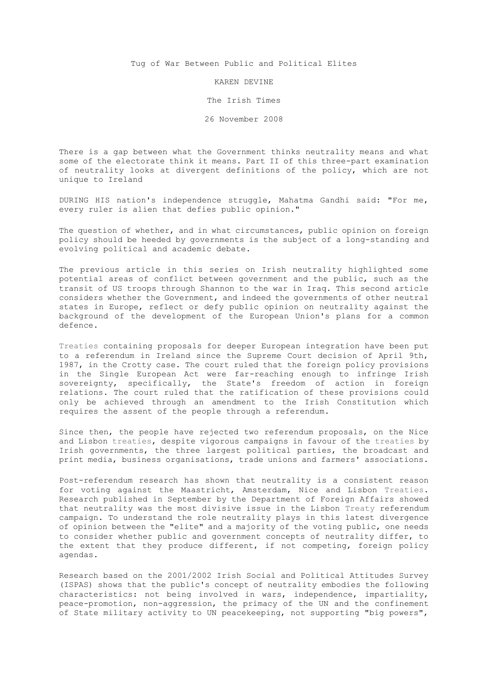Tug of War Between Public and Political Elites

## KAREN DEVINE

The Irish Times

26 November 2008

There is a gap between what the Government thinks neutrality means and what some of the electorate think it means. Part II of this three-part examination of neutrality looks at divergent definitions of the policy, which are not unique to Ireland

DURING HIS nation's independence struggle, Mahatma Gandhi said: "For me, every ruler is alien that defies public opinion."

The question of whether, and in what circumstances, public opinion on foreign policy should be heeded by governments is the subject of a long-standing and evolving political and academic debate.

The previous article in this series on Irish neutrality highlighted some potential areas of conflict between government and the public, such as the transit of US troops through Shannon to the war in Iraq. This second article considers whether the Government, and indeed the governments of other neutral states in Europe, reflect or defy public opinion on neutrality against the background of the development of the European Union's plans for a common defence.

Treaties containing proposals for deeper European integration have been put to a referendum in Ireland since the Supreme Court decision of April 9th, 1987, in the Crotty case. The court ruled that the foreign policy provisions in the Single European Act were far-reaching enough to infringe Irish sovereignty, specifically, the State's freedom of action in foreign relations. The court ruled that the ratification of these provisions could only be achieved through an amendment to the Irish Constitution which requires the assent of the people through a referendum.

Since then, the people have rejected two referendum proposals, on the Nice and Lisbon treaties, despite vigorous campaigns in favour of the treaties by Irish governments, the three largest political parties, the broadcast and print media, business organisations, trade unions and farmers' associations.

Post-referendum research has shown that neutrality is a consistent reason for voting against the Maastricht, Amsterdam, Nice and Lisbon Treaties. Research published in September by the Department of Foreign Affairs showed that neutrality was the most divisive issue in the Lisbon Treaty referendum campaign. To understand the role neutrality plays in this latest divergence of opinion between the "elite" and a majority of the voting public, one needs to consider whether public and government concepts of neutrality differ, to the extent that they produce different, if not competing, foreign policy agendas.

Research based on the 2001/2002 Irish Social and Political Attitudes Survey (ISPAS) shows that the public's concept of neutrality embodies the following characteristics: not being involved in wars, independence, impartiality, peace-promotion, non-aggression, the primacy of the UN and the confinement of State military activity to UN peacekeeping, not supporting "big powers",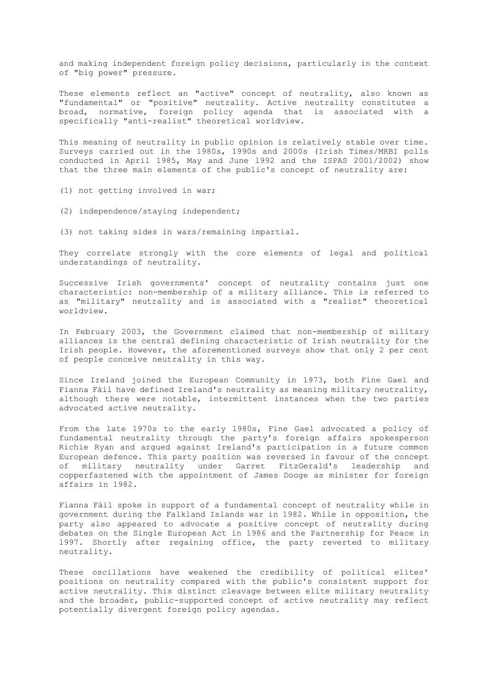and making independent foreign policy decisions, particularly in the context of "big power" pressure.

These elements reflect an "active" concept of neutrality, also known as "fundamental" or "positive" neutrality. Active neutrality constitutes a broad, normative, foreign policy agenda that is associated with a specifically "anti-realist" theoretical worldview.

This meaning of neutrality in public opinion is relatively stable over time. Surveys carried out in the 1980s, 1990s and 2000s (Irish Times/MRBI polls conducted in April 1985, May and June 1992 and the ISPAS 2001/2002) show that the three main elements of the public's concept of neutrality are:

- (1) not getting involved in war;
- (2) independence/staying independent;
- (3) not taking sides in wars/remaining impartial.

They correlate strongly with the core elements of legal and political understandings of neutrality.

Successive Irish governments' concept of neutrality contains just one characteristic: non-membership of a military alliance. This is referred to as "military" neutrality and is associated with a "realist" theoretical worldview.

In February 2003, the Government claimed that non-membership of military alliances is the central defining characteristic of Irish neutrality for the Irish people. However, the aforementioned surveys show that only 2 per cent of people conceive neutrality in this way.

Since Ireland joined the European Community in 1973, both Fine Gael and Fianna Fáil have defined Ireland's neutrality as meaning military neutrality, although there were notable, intermittent instances when the two parties advocated active neutrality.

From the late 1970s to the early 1980s, Fine Gael advocated a policy of fundamental neutrality through the party's foreign affairs spokesperson Richie Ryan and argued against Ireland's participation in a future common European defence. This party position was reversed in favour of the concept of military neutrality under Garret FitzGerald's leadership and copperfastened with the appointment of James Dooge as minister for foreign affairs in 1982.

Fianna Fáil spoke in support of a fundamental concept of neutrality while in government during the Falkland Islands war in 1982. While in opposition, the party also appeared to advocate a positive concept of neutrality during debates on the Single European Act in 1986 and the Partnership for Peace in 1997. Shortly after regaining office, the party reverted to military neutrality.

These oscillations have weakened the credibility of political elites' positions on neutrality compared with the public's consistent support for active neutrality. This distinct cleavage between elite military neutrality and the broader, public-supported concept of active neutrality may reflect potentially divergent foreign policy agendas.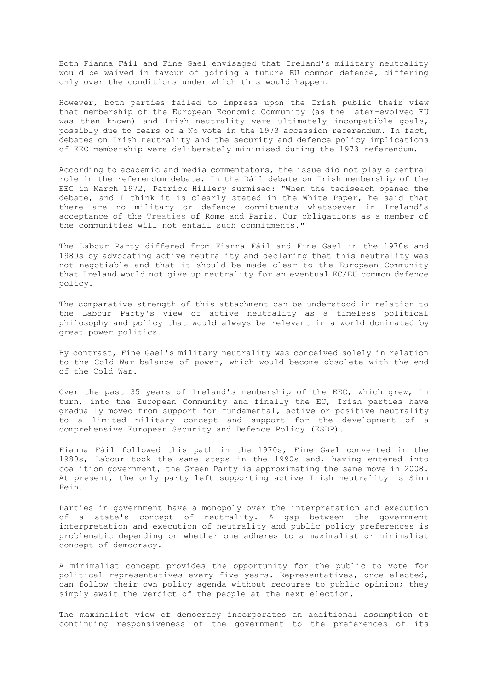Both Fianna Fáil and Fine Gael envisaged that Ireland's military neutrality would be waived in favour of joining a future EU common defence, differing only over the conditions under which this would happen.

However, both parties failed to impress upon the Irish public their view that membership of the European Economic Community (as the later-evolved EU was then known) and Irish neutrality were ultimately incompatible goals, possibly due to fears of a No vote in the 1973 accession referendum. In fact, debates on Irish neutrality and the security and defence policy implications of EEC membership were deliberately minimised during the 1973 referendum.

According to academic and media commentators, the issue did not play a central role in the referendum debate. In the Dáil debate on Irish membership of the EEC in March 1972, Patrick Hillery surmised: "When the taoiseach opened the debate, and I think it is clearly stated in the White Paper, he said that there are no military or defence commitments whatsoever in Ireland's acceptance of the Treaties of Rome and Paris. Our obligations as a member of the communities will not entail such commitments."

The Labour Party differed from Fianna Fáil and Fine Gael in the 1970s and 1980s by advocating active neutrality and declaring that this neutrality was not negotiable and that it should be made clear to the European Community that Ireland would not give up neutrality for an eventual EC/EU common defence policy.

The comparative strength of this attachment can be understood in relation to the Labour Party's view of active neutrality as a timeless political philosophy and policy that would always be relevant in a world dominated by great power politics.

By contrast, Fine Gael's military neutrality was conceived solely in relation to the Cold War balance of power, which would become obsolete with the end of the Cold War.

Over the past 35 years of Ireland's membership of the EEC, which grew, in turn, into the European Community and finally the EU, Irish parties have gradually moved from support for fundamental, active or positive neutrality to a limited military concept and support for the development of a comprehensive European Security and Defence Policy (ESDP).

Fianna Fáil followed this path in the 1970s, Fine Gael converted in the 1980s, Labour took the same steps in the 1990s and, having entered into coalition government, the Green Party is approximating the same move in 2008. At present, the only party left supporting active Irish neutrality is Sinn Fein.

Parties in government have a monopoly over the interpretation and execution of a state's concept of neutrality. A gap between the government interpretation and execution of neutrality and public policy preferences is problematic depending on whether one adheres to a maximalist or minimalist concept of democracy.

A minimalist concept provides the opportunity for the public to vote for political representatives every five years. Representatives, once elected, can follow their own policy agenda without recourse to public opinion; they simply await the verdict of the people at the next election.

The maximalist view of democracy incorporates an additional assumption of continuing responsiveness of the government to the preferences of its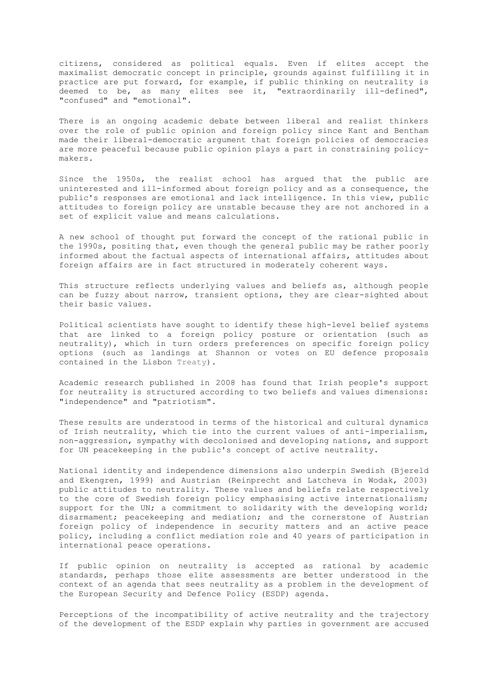citizens, considered as political equals. Even if elites accept the maximalist democratic concept in principle, grounds against fulfilling it in practice are put forward, for example, if public thinking on neutrality is deemed to be, as many elites see it, "extraordinarily ill-defined", "confused" and "emotional".

There is an ongoing academic debate between liberal and realist thinkers over the role of public opinion and foreign policy since Kant and Bentham made their liberal-democratic argument that foreign policies of democracies are more peaceful because public opinion plays a part in constraining policymakers.

Since the 1950s, the realist school has argued that the public are uninterested and ill-informed about foreign policy and as a consequence, the public's responses are emotional and lack intelligence. In this view, public attitudes to foreign policy are unstable because they are not anchored in a set of explicit value and means calculations.

A new school of thought put forward the concept of the rational public in the 1990s, positing that, even though the general public may be rather poorly informed about the factual aspects of international affairs, attitudes about foreign affairs are in fact structured in moderately coherent ways.

This structure reflects underlying values and beliefs as, although people can be fuzzy about narrow, transient options, they are clear-sighted about their basic values.

Political scientists have sought to identify these high-level belief systems that are linked to a foreign policy posture or orientation (such as neutrality), which in turn orders preferences on specific foreign policy options (such as landings at Shannon or votes on EU defence proposals contained in the Lisbon Treaty).

Academic research published in 2008 has found that Irish people's support for neutrality is structured according to two beliefs and values dimensions: "independence" and "patriotism".

These results are understood in terms of the historical and cultural dynamics of Irish neutrality, which tie into the current values of anti-imperialism, non-aggression, sympathy with decolonised and developing nations, and support for UN peacekeeping in the public's concept of active neutrality.

National identity and independence dimensions also underpin Swedish (Bjereld and Ekengren, 1999) and Austrian (Reinprecht and Latcheva in Wodak, 2003) public attitudes to neutrality. These values and beliefs relate respectively to the core of Swedish foreign policy emphasising active internationalism; support for the UN; a commitment to solidarity with the developing world; disarmament; peacekeeping and mediation; and the cornerstone of Austrian foreign policy of independence in security matters and an active peace policy, including a conflict mediation role and 40 years of participation in international peace operations.

If public opinion on neutrality is accepted as rational by academic standards, perhaps those elite assessments are better understood in the context of an agenda that sees neutrality as a problem in the development of the European Security and Defence Policy (ESDP) agenda.

Perceptions of the incompatibility of active neutrality and the trajectory of the development of the ESDP explain why parties in government are accused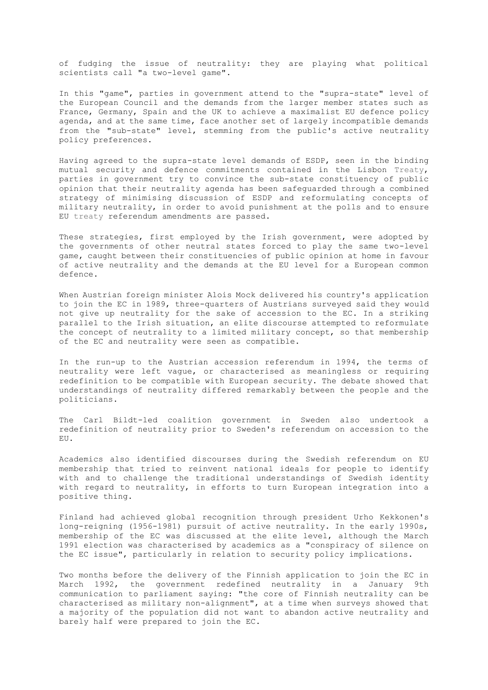of fudging the issue of neutrality: they are playing what political scientists call "a two-level game".

In this "game", parties in government attend to the "supra-state" level of the European Council and the demands from the larger member states such as France, Germany, Spain and the UK to achieve a maximalist EU defence policy agenda, and at the same time, face another set of largely incompatible demands from the "sub-state" level, stemming from the public's active neutrality policy preferences.

Having agreed to the supra-state level demands of ESDP, seen in the binding mutual security and defence commitments contained in the Lisbon Treaty, parties in government try to convince the sub-state constituency of public opinion that their neutrality agenda has been safeguarded through a combined strategy of minimising discussion of ESDP and reformulating concepts of military neutrality, in order to avoid punishment at the polls and to ensure EU treaty referendum amendments are passed.

These strategies, first employed by the Irish government, were adopted by the governments of other neutral states forced to play the same two-level game, caught between their constituencies of public opinion at home in favour of active neutrality and the demands at the EU level for a European common defence.

When Austrian foreign minister Alois Mock delivered his country's application to join the EC in 1989, three-quarters of Austrians surveyed said they would not give up neutrality for the sake of accession to the EC. In a striking parallel to the Irish situation, an elite discourse attempted to reformulate the concept of neutrality to a limited military concept, so that membership of the EC and neutrality were seen as compatible.

In the run-up to the Austrian accession referendum in 1994, the terms of neutrality were left vague, or characterised as meaningless or requiring redefinition to be compatible with European security. The debate showed that understandings of neutrality differed remarkably between the people and the politicians.

The Carl Bildt-led coalition government in Sweden also undertook a redefinition of neutrality prior to Sweden's referendum on accession to the EU.

Academics also identified discourses during the Swedish referendum on EU membership that tried to reinvent national ideals for people to identify with and to challenge the traditional understandings of Swedish identity with regard to neutrality, in efforts to turn European integration into a positive thing.

Finland had achieved global recognition through president Urho Kekkonen's long-reigning (1956-1981) pursuit of active neutrality. In the early 1990s, membership of the EC was discussed at the elite level, although the March 1991 election was characterised by academics as a "conspiracy of silence on the EC issue", particularly in relation to security policy implications.

Two months before the delivery of the Finnish application to join the EC in March 1992, the government redefined neutrality in a January 9th communication to parliament saying: "the core of Finnish neutrality can be characterised as military non-alignment", at a time when surveys showed that a majority of the population did not want to abandon active neutrality and barely half were prepared to join the EC.